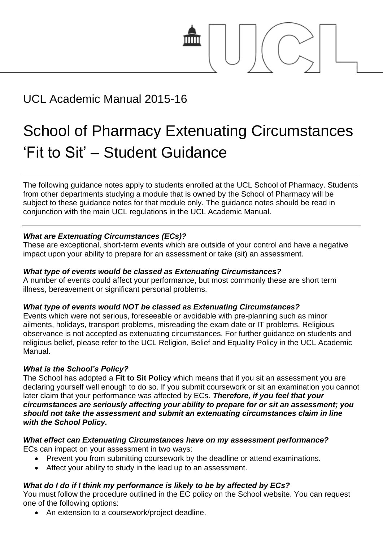

# UCL Academic Manual 2015-16

# School of Pharmacy Extenuating Circumstances 'Fit to Sit' – Student Guidance

The following guidance notes apply to students enrolled at the UCL School of Pharmacy. Students from other departments studying a module that is owned by the School of Pharmacy will be subject to these guidance notes for that module only. The guidance notes should be read in conjunction with the main UCL regulations in the UCL Academic Manual.

# *What are Extenuating Circumstances (ECs)?*

These are exceptional, short-term events which are outside of your control and have a negative impact upon your ability to prepare for an assessment or take (sit) an assessment.

# *What type of events would be classed as Extenuating Circumstances?*

A number of events could affect your performance, but most commonly these are short term illness, bereavement or significant personal problems.

# *What type of events would NOT be classed as Extenuating Circumstances?*

Events which were not serious, foreseeable or avoidable with pre-planning such as minor ailments, holidays, transport problems, misreading the exam date or IT problems. Religious observance is not accepted as extenuating circumstances. For further guidance on students and religious belief, please refer to the UCL Religion, Belief and Equality Policy in the UCL Academic Manual.

# *What is the School's Policy?*

The School has adopted a **Fit to Sit Policy** which means that if you sit an assessment you are declaring yourself well enough to do so. If you submit coursework or sit an examination you cannot later claim that your performance was affected by ECs. *Therefore, if you feel that your circumstances are seriously affecting your ability to prepare for or sit an assessment; you should not take the assessment and submit an extenuating circumstances claim in line with the School Policy.* 

#### *What effect can Extenuating Circumstances have on my assessment performance?*  ECs can impact on your assessment in two ways:

- Prevent you from submitting coursework by the deadline or attend examinations.
- Affect your ability to study in the lead up to an assessment.

# *What do I do if I think my performance is likely to be by affected by ECs?*

You must follow the procedure outlined in the EC policy on the School website. You can request one of the following options:

An extension to a coursework/project deadline.